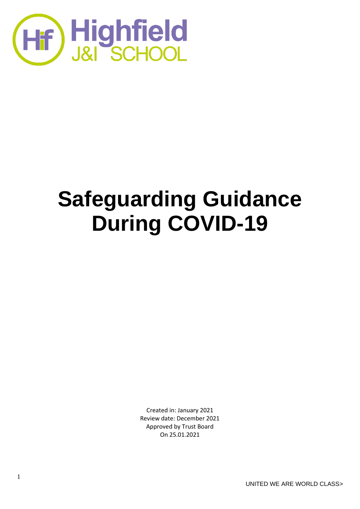

# **Safeguarding Guidance During COVID-19**

Created in: January 2021 Review date: December 2021 Approved by Trust Board On 25.01.2021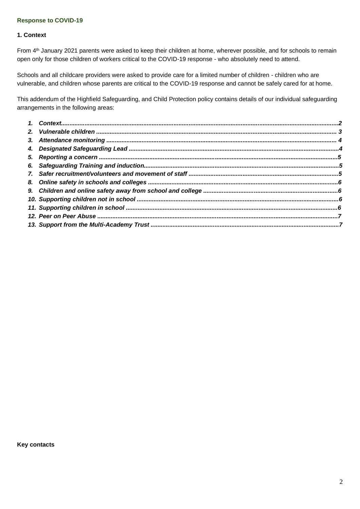## **Response to COVID-19**

#### **1. Context**

From 4<sup>th</sup> January 2021 parents were asked to keep their children at home, wherever possible, and for schools to remain open only for those children of workers critical to the COVID-19 response - who absolutely need to attend.

Schools and all childcare providers were asked to provide care for a limited number of children - children who are vulnerable, and children whose parents are critical to the COVID-19 response and cannot be safely cared for at home.

This addendum of the Highfield Safeguarding, and Child Protection policy contains details of our individual safeguarding arrangements in the following areas:

**Key contacts**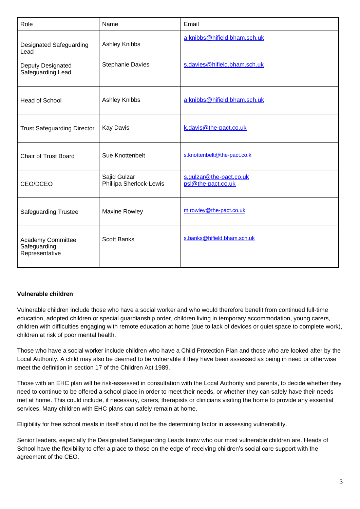| Role                                                                             | Name                                            | Email                                                        |
|----------------------------------------------------------------------------------|-------------------------------------------------|--------------------------------------------------------------|
| <b>Designated Safeguarding</b><br>Lead<br>Deputy Designated<br>Safeguarding Lead | <b>Ashley Knibbs</b><br><b>Stephanie Davies</b> | a.knibbs@hifield.bham.sch.uk<br>s.davies@hifield.bham.sch.uk |
| <b>Head of School</b>                                                            | Ashley Knibbs                                   | a.knibbs@hifield.bham.sch.uk                                 |
| <b>Trust Safeguarding Director</b>                                               | <b>Kay Davis</b>                                | k.davis@the-pact.co.uk                                       |
| <b>Chair of Trust Board</b>                                                      | Sue Knottenbelt                                 | s.knottenbelt@the-pact.co.k                                  |
| CEO/DCEO                                                                         | Sajid Gulzar<br>Phillipa Sherlock-Lewis         | s.gulzar@the-pact.co.uk<br>psl@the-pact.co.uk                |
| <b>Safeguarding Trustee</b>                                                      | Maxine Rowley                                   | m.rowley@the-pact.co.uk                                      |
| <b>Academy Committee</b><br>Safeguarding<br>Representative                       | <b>Scott Banks</b>                              | s.banks@hifield.bham.sch.uk                                  |

# **Vulnerable children**

Vulnerable children include those who have a social worker and who would therefore benefit from continued full-time education, adopted children or special guardianship order, children living in temporary accommodation, young carers, children with difficulties engaging with remote education at home (due to lack of devices or quiet space to complete work), children at risk of poor mental health.

Those who have a social worker include children who have a Child Protection Plan and those who are looked after by the Local Authority. A child may also be deemed to be vulnerable if they have been assessed as being in need or otherwise meet the definition in section 17 of the Children Act 1989.

Those with an EHC plan will be risk-assessed in consultation with the Local Authority and parents, to decide whether they need to continue to be offered a school place in order to meet their needs, or whether they can safely have their needs met at home. This could include, if necessary, carers, therapists or clinicians visiting the home to provide any essential services. Many children with EHC plans can safely remain at home.

Eligibility for free school meals in itself should not be the determining factor in assessing vulnerability.

Senior leaders, especially the Designated Safeguarding Leads know who our most vulnerable children are. Heads of School have the flexibility to offer a place to those on the edge of receiving children's social care support with the agreement of the CEO.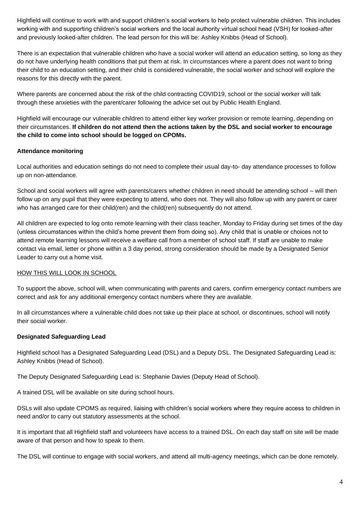Highfield will continue to work with and support children's social workers to help protect vulnerable children. This includes working with and supporting children's social workers and the local authority virtual school head (VSH) for looked-after and previously looked-after children. The lead person for this will be: Ashley Knibbs (Head of School).

There is an expectation that vulnerable children who have a social worker will attend an education setting, so long as they do not have underlying health conditions that put them at risk. In circumstances where a parent does not want to bring their child to an education setting, and their child is considered vulnerable, the social worker and school will explore the reasons for this directly with the parent.

Where parents are concerned about the risk of the child contracting COVID19, school or the social worker will talk through these anxieties with the parent/carer following the advice set out by Public Health England.

Highfield will encourage our vulnerable children to attend either key worker provision or remote learning, depending on their circumstances. **If children do not attend then the actions taken by the DSL and social worker to encourage the child to come into school should be logged on CPOMs.**

# **Attendance monitoring**

Local authorities and education settings do not need to complete their usual day-to- day attendance processes to follow up on non-attendance.

School and social workers will agree with parents/carers whether children in need should be attending school – will then follow up on any pupil that they were expecting to attend, who does not. They will also follow up with any parent or carer who has arranged care for their child(ren) and the child(ren) subsequently do not attend.

All children are expected to log onto remote learning with their class teacher, Monday to Friday during set times of the day (unless circumstances within the child's home prevent them from doing so). Any child that is unable or choices not to attend remote learning lessons will receive a welfare call from a member of school staff. If staff are unable to make contact via email, letter or phone within a 3 day period, strong consideration should be made by a Designated Senior Leader to carry out a home visit.

#### HOW THIS WILL LOOK IN SCHOOL

To support the above, school will, when communicating with parents and carers, confirm emergency contact numbers are correct and ask for any additional emergency contact numbers where they are available.

In all circumstances where a vulnerable child does not take up their place at school, or discontinues, school will notify their social worker.

# **Designated Safeguarding Lead**

Highfield school has a Designated Safeguarding Lead (DSL) and a Deputy DSL. The Designated Safeguarding Lead is: Ashley Knibbs (Head of School).

The Deputy Designated Safeguarding Lead is: Stephanie Davies (Deputy Head of School).

A trained DSL will be available on site during school hours.

DSLs will also update CPOMS as required, liaising with children's social workers where they require access to children in need and/or to carry out statutory assessments at the school.

It is important that all Highfield staff and volunteers have access to a trained DSL. On each day staff on site will be made aware of that person and how to speak to them.

The DSL will continue to engage with social workers, and attend all multi-agency meetings, which can be done remotely.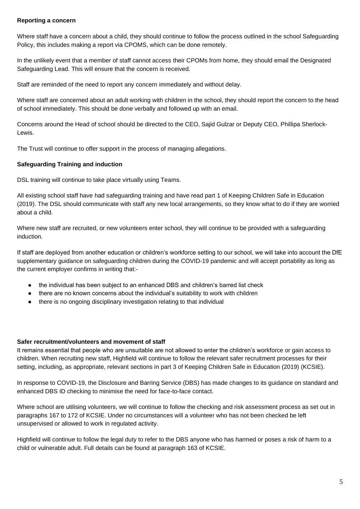#### **Reporting a concern**

Where staff have a concern about a child, they should continue to follow the process outlined in the school Safeguarding Policy, this includes making a report via CPOMS, which can be done remotely.

In the unlikely event that a member of staff cannot access their CPOMs from home, they should email the Designated Safeguarding Lead. This will ensure that the concern is received.

Staff are reminded of the need to report any concern immediately and without delay.

Where staff are concerned about an adult working with children in the school, they should report the concern to the head of school immediately. This should be done verbally and followed up with an email.

Concerns around the Head of school should be directed to the CEO, Sajid Gulzar or Deputy CEO, Phillipa Sherlock-Lewis.

The Trust will continue to offer support in the process of managing allegations.

## **Safeguarding Training and induction**

DSL training will continue to take place virtually using Teams.

All existing school staff have had safeguarding training and have read part 1 of Keeping Children Safe in Education (2019). The DSL should communicate with staff any new local arrangements, so they know what to do if they are worried about a child.

Where new staff are recruited, or new volunteers enter school, they will continue to be provided with a safeguarding induction.

If staff are deployed from another education or children's workforce setting to our school, we will take into account the DfE supplementary guidance on safeguarding children during the COVID-19 pandemic and will accept portability as long as the current employer confirms in writing that:-

- the individual has been subject to an enhanced DBS and children's barred list check
- there are no known concerns about the individual's suitability to work with children
- there is no ongoing disciplinary investigation relating to that individual

#### **Safer recruitment/volunteers and movement of staff**

It remains essential that people who are unsuitable are not allowed to enter the children's workforce or gain access to children. When recruiting new staff, Highfield will continue to follow the relevant safer recruitment processes for their setting, including, as appropriate, relevant sections in part 3 of Keeping Children Safe in Education (2019) (KCSIE).

In response to COVID-19, the Disclosure and Barring Service (DBS) has made changes to its guidance on standard and enhanced DBS ID checking to minimise the need for face-to-face contact.

Where school are utilising volunteers, we will continue to follow the checking and risk assessment process as set out in paragraphs 167 to 172 of KCSIE. Under no circumstances will a volunteer who has not been checked be left unsupervised or allowed to work in regulated activity.

Highfield will continue to follow the legal duty to refer to the DBS anyone who has harmed or poses a risk of harm to a child or vulnerable adult. Full details can be found at paragraph 163 of KCSIE.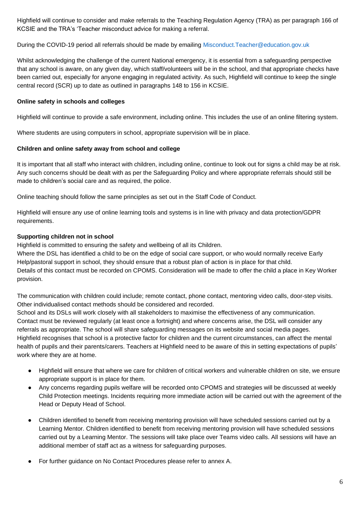Highfield will continue to consider and make referrals to the Teaching Regulation Agency (TRA) as per paragraph 166 of KCSIE and the TRA's 'Teacher misconduct advice for making a referral.

During the COVID-19 period all referrals should be made by emailing Misconduct.Teacher@education.gov.uk

Whilst acknowledging the challenge of the current National emergency, it is essential from a safeguarding perspective that any school is aware, on any given day, which staff/volunteers will be in the school, and that appropriate checks have been carried out, especially for anyone engaging in regulated activity. As such, Highfield will continue to keep the single central record (SCR) up to date as outlined in paragraphs 148 to 156 in KCSIE.

## **Online safety in schools and colleges**

Highfield will continue to provide a safe environment, including online. This includes the use of an online filtering system.

Where students are using computers in school, appropriate supervision will be in place.

## **Children and online safety away from school and college**

It is important that all staff who interact with children, including online, continue to look out for signs a child may be at risk. Any such concerns should be dealt with as per the Safeguarding Policy and where appropriate referrals should still be made to children's social care and as required, the police.

Online teaching should follow the same principles as set out in the Staff [Code of Conduct.](https://docs.google.com/document/d/1AFMwDaEFSuqjLQV7iVSNntZb5coA1yiJ0XLTEKD4c1U/edit?usp=sharing)

Highfield will ensure any use of online learning tools and systems is in line with privacy and data protection/GDPR requirements.

## **Supporting children not in school**

Highfield is committed to ensuring the safety and wellbeing of all its Children.

Where the DSL has identified a child to be on the edge of social care support, or who would normally receive Early Help/pastoral support in school, they should ensure that a robust plan of action is in place for that child. Details of this contact must be recorded on CPOMS. Consideration will be made to offer the child a place in Key Worker provision.

The communication with children could include; remote contact, phone contact, mentoring video calls, door-step visits. Other individualised contact methods should be considered and recorded.

School and its DSLs will work closely with all stakeholders to maximise the effectiveness of any communication. Contact must be reviewed regularly (at least once a fortnight) and where concerns arise, the DSL will consider any referrals as appropriate. The school will share safeguarding messages on its website and social media pages. Highfield recognises that school is a protective factor for children and the current circumstances, can affect the mental health of pupils and their parents/carers. Teachers at Highfield need to be aware of this in setting expectations of pupils' work where they are at home.

- Highfield will ensure that where we care for children of critical workers and vulnerable children on site, we ensure appropriate support is in place for them.
- Any concerns regarding pupils welfare will be recorded onto CPOMS and strategies will be discussed at weekly Child Protection meetings. Incidents requiring more immediate action will be carried out with the agreement of the Head or Deputy Head of School.
- Children identified to benefit from receiving mentoring provision will have scheduled sessions carried out by a Learning Mentor. Children identified to benefit from receiving mentoring provision will have scheduled sessions carried out by a Learning Mentor. The sessions will take place over Teams video calls. All sessions will have an additional member of staff act as a witness for safeguarding purposes.
- For further guidance on No Contact Procedures please refer to annex A.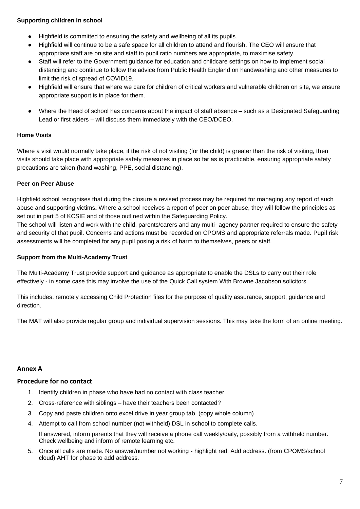# **Supporting children in school**

- Highfield is committed to ensuring the safety and wellbeing of all its pupils.
- Highfield will continue to be a safe space for all children to attend and flourish. The CEO will ensure that appropriate staff are on site and staff to pupil ratio numbers are appropriate, to maximise safety.
- Staff will refer to the Government guidance for education and childcare settings on how to implement social distancing and continue to follow the advice from Public Health England on handwashing and other measures to limit the risk of spread of COVID19.
- Highfield will ensure that where we care for children of critical workers and vulnerable children on site, we ensure appropriate support is in place for them.
- Where the Head of school has concerns about the impact of staff absence such as a Designated Safeguarding Lead or first aiders – will discuss them immediately with the CEO/DCEO.

# **Home Visits**

Where a visit would normally take place, if the risk of not visiting (for the child) is greater than the risk of visiting, then visits should take place with appropriate safety measures in place so far as is practicable, ensuring appropriate safety precautions are taken (hand washing, PPE, social distancing).

# **Peer on Peer Abuse**

Highfield school recognises that during the closure a revised process may be required for managing any report of such abuse and supporting victims**.** Where a school receives a report of peer on peer abuse, they will follow the principles as set out in part 5 of KCSIE and of those outlined within the Safeguarding Policy.

The school will listen and work with the child, parents/carers and any multi- agency partner required to ensure the safety and security of that pupil. Concerns and actions must be recorded on CPOMS and appropriate referrals made. Pupil risk assessments will be completed for any pupil posing a risk of harm to themselves, peers or staff.

#### **Support from the Multi-Academy Trust**

The Multi-Academy Trust provide support and guidance as appropriate to enable the DSLs to carry out their role effectively - in some case this may involve the use of the Quick Call system With Browne Jacobson solicitors

This includes, remotely accessing Child Protection files for the purpose of quality assurance, support, guidance and direction.

The MAT will also provide regular group and individual supervision sessions. This may take the form of an online meeting.

# **Annex A**

# **Procedure for no contact**

- 1. Identify children in phase who have had no contact with class teacher
- 2. Cross-reference with siblings have their teachers been contacted?
- 3. Copy and paste children onto excel drive in year group tab. (copy whole column)
- 4. Attempt to call from school number (not withheld) DSL in school to complete calls.

If answered, inform parents that they will receive a phone call weekly/daily, possibly from a withheld number. Check wellbeing and inform of remote learning etc.

5. Once all calls are made. No answer/number not working - highlight red. Add address. (from CPOMS/school cloud) AHT for phase to add address.